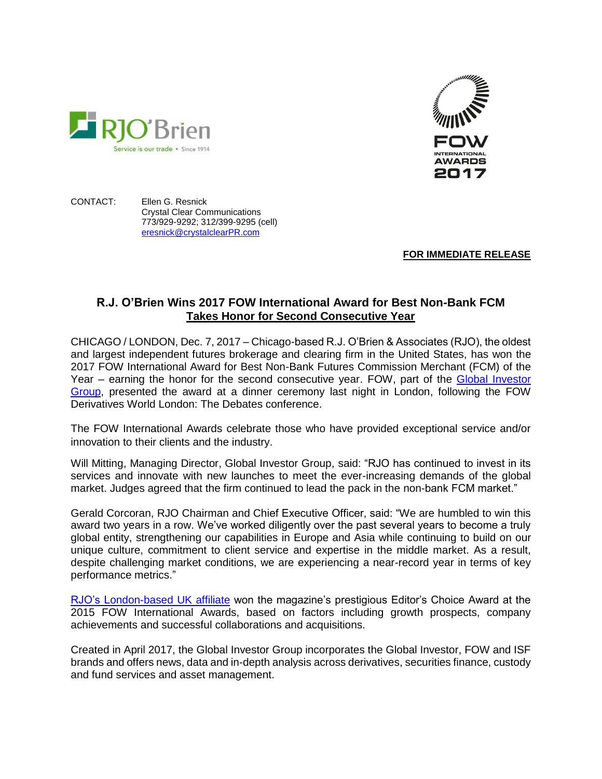

CONTACT: Ellen G. Resnick Crystal Clear Communications 773/929-9292; 312/399-9295 (cell) [eresnick@crystalclearPR.com](mailto:eresnick@crystalclearPR.com)

Service is our trade · Since 1914

**FOR IMMEDIATE RELEASE**

## **R.J. O'Brien Wins 2017 FOW International Award for Best Non-Bank FCM Takes Honor for Second Consecutive Year**

CHICAGO / LONDON, Dec. 7, 2017 – Chicago-based R.J. O'Brien & Associates (RJO), the oldest and largest independent futures brokerage and clearing firm in the United States, has won the 2017 FOW International Award for Best Non-Bank Futures Commission Merchant (FCM) of the Year – earning the honor for the second consecutive year. FOW, part of the Global Investor [Group,](https://globalinvestorgroup.com/) presented the award at a dinner ceremony last night in London, following the FOW Derivatives World London: The Debates conference.

The FOW International Awards celebrate those who have provided exceptional service and/or innovation to their clients and the industry.

Will Mitting, Managing Director, Global Investor Group, said: "RJO has continued to invest in its services and innovate with new launches to meet the ever-increasing demands of the global market. Judges agreed that the firm continued to lead the pack in the non-bank FCM market."

Gerald Corcoran, RJO Chairman and Chief Executive Officer, said: "We are humbled to win this award two years in a row. We've worked diligently over the past several years to become a truly global entity, strengthening our capabilities in Europe and Asia while continuing to build on our unique culture, commitment to client service and expertise in the middle market. As a result, despite challenging market conditions, we are experiencing a near-record year in terms of key performance metrics."

[RJO's London-based UK affiliate](https://www.rjobrien.co.uk/) won the magazine's prestigious Editor's Choice Award at the 2015 FOW International Awards, based on factors including growth prospects, company achievements and successful collaborations and acquisitions.

Created in April 2017, the Global Investor Group incorporates the Global Investor, FOW and ISF brands and offers news, data and in-depth analysis across derivatives, securities finance, custody and fund services and asset management.